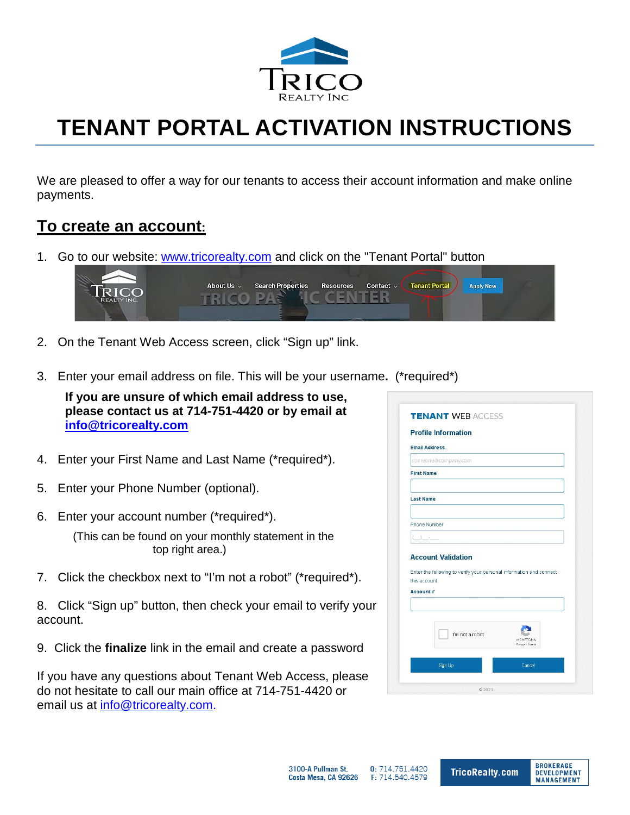

# **TENANT PORTAL ACTIVATION INSTRUCTIONS**

We are pleased to offer a way for our tenants to access their account information and make online payments.

# **To create an account:**

1. Go to our website: [www.tricorealty.com](http://www.tricorealty.com/) and click on the "Tenant Portal" button



- 2. On the Tenant Web Access screen, click "Sign up" link.
- 3. Enter your email address on file. This will be your username**.** (\*required\*)

**If you are unsure of which email address to use, please contact us at 714-751-4420 or by email at [info@tricorealty.com](mailto:info@tricorealty.com)**

- 4. Enter your First Name and Last Name (\*required\*).
- 5. Enter your Phone Number (optional).
- 6. Enter your account number (\*required\*).

(This can be found on your monthly statement in the top right area.)

7. Click the checkbox next to "I'm not a robot" (\*required\*).

8. Click "Sign up" button, then check your email to verify your account.

9. Click the **finalize** link in the email and create a password

If you have any questions about Tenant Web Access, please do not hesitate to call our main office at 714-751-4420 or email us at [info@tricorealty.com.](mailto:info@tricorealty.com)

|                   | <b>Profile Information</b>                                                           |
|-------------------|--------------------------------------------------------------------------------------|
|                   | <b>Email Address</b>                                                                 |
|                   | someone@company.com                                                                  |
| <b>First Name</b> |                                                                                      |
|                   |                                                                                      |
| <b>Last Name</b>  |                                                                                      |
|                   |                                                                                      |
|                   | Phone Number                                                                         |
|                   |                                                                                      |
|                   | <b>Account Validation</b>                                                            |
|                   | Enter the following to verify your personal information and connect<br>this account. |
| Account #         |                                                                                      |
|                   | I'm not a robot<br>reCAPTCHA<br>Privacy - Terms                                      |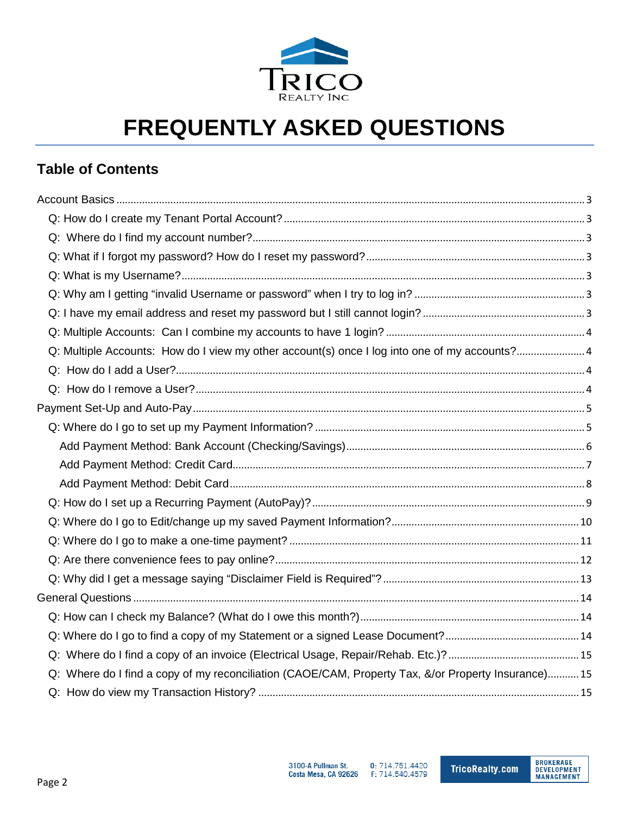

# **FREQUENTLY ASKED QUESTIONS**

# **Table of Contents**

| Q: Multiple Accounts: How do I view my other account(s) once I log into one of my accounts? 4      |  |
|----------------------------------------------------------------------------------------------------|--|
|                                                                                                    |  |
|                                                                                                    |  |
|                                                                                                    |  |
|                                                                                                    |  |
|                                                                                                    |  |
|                                                                                                    |  |
|                                                                                                    |  |
|                                                                                                    |  |
|                                                                                                    |  |
|                                                                                                    |  |
|                                                                                                    |  |
|                                                                                                    |  |
|                                                                                                    |  |
|                                                                                                    |  |
|                                                                                                    |  |
|                                                                                                    |  |
| Q: Where do I find a copy of my reconciliation (CAOE/CAM, Property Tax, &/or Property Insurance)15 |  |
|                                                                                                    |  |

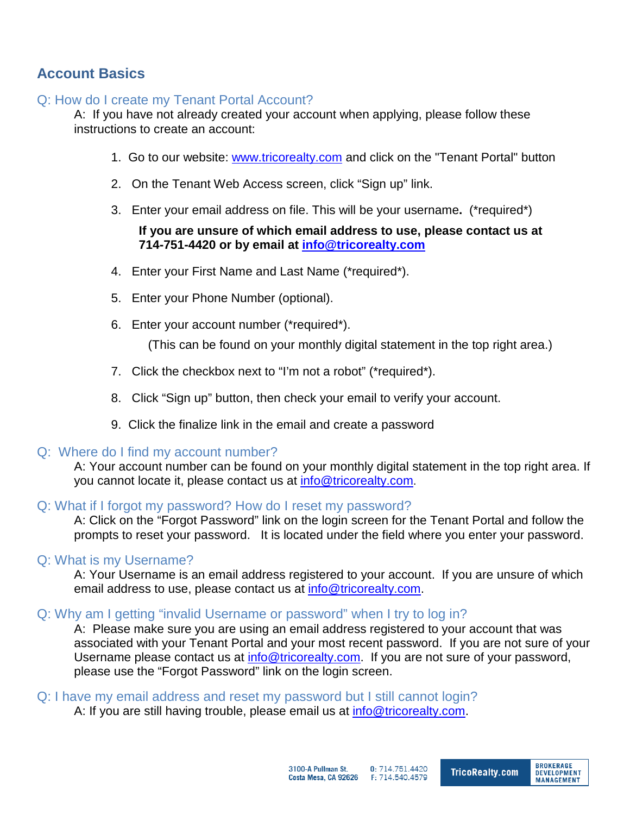# <span id="page-2-0"></span>**Account Basics**

## <span id="page-2-1"></span>Q: How do I create my Tenant Portal Account?

A: If you have not already created your account when applying, please follow these instructions to create an account:

- 1. Go to our website: [www.tricorealty.com](http://www.tricorealty.com/) and click on the "Tenant Portal" button
- 2. On the Tenant Web Access screen, click "Sign up" link.
- 3. Enter your email address on file. This will be your username**.** (\*required\*)

#### **If you are unsure of which email address to use, please contact us at 714-751-4420 or by email at [info@tricorealty.com](mailto:info@tricorealty.com)**

- 4. Enter your First Name and Last Name (\*required\*).
- 5. Enter your Phone Number (optional).
- 6. Enter your account number (\*required\*).

(This can be found on your monthly digital statement in the top right area.)

- 7. Click the checkbox next to "I'm not a robot" (\*required\*).
- 8. Click "Sign up" button, then check your email to verify your account.
- 9. Click the finalize link in the email and create a password

#### <span id="page-2-2"></span>Q: Where do I find my account number?

A: Your account number can be found on your monthly digital statement in the top right area. If you cannot locate it, please contact us at [info@tricorealty.com.](mailto:info@tricorealty.com)

#### <span id="page-2-3"></span>Q: What if I forgot my password? How do I reset my password?

A: Click on the "Forgot Password" link on the login screen for the Tenant Portal and follow the prompts to reset your password. It is located under the field where you enter your password.

#### <span id="page-2-4"></span>Q: What is my Username?

A: Your Username is an email address registered to your account. If you are unsure of which email address to use, please contact us at [info@tricorealty.com.](mailto:info@tricorealty.com)

#### <span id="page-2-5"></span>Q: Why am I getting "invalid Username or password" when I try to log in?

A: Please make sure you are using an email address registered to your account that was associated with your Tenant Portal and your most recent password. If you are not sure of your Username please contact us at [info@tricorealty.com.](mailto:info@tricorealty.com) If you are not sure of your password, please use the "Forgot Password" link on the login screen.

<span id="page-2-6"></span>Q: I have my email address and reset my password but I still cannot login?

A: If you are still having trouble, please email us at [info@tricorealty.com.](mailto:info@tricorealty.com)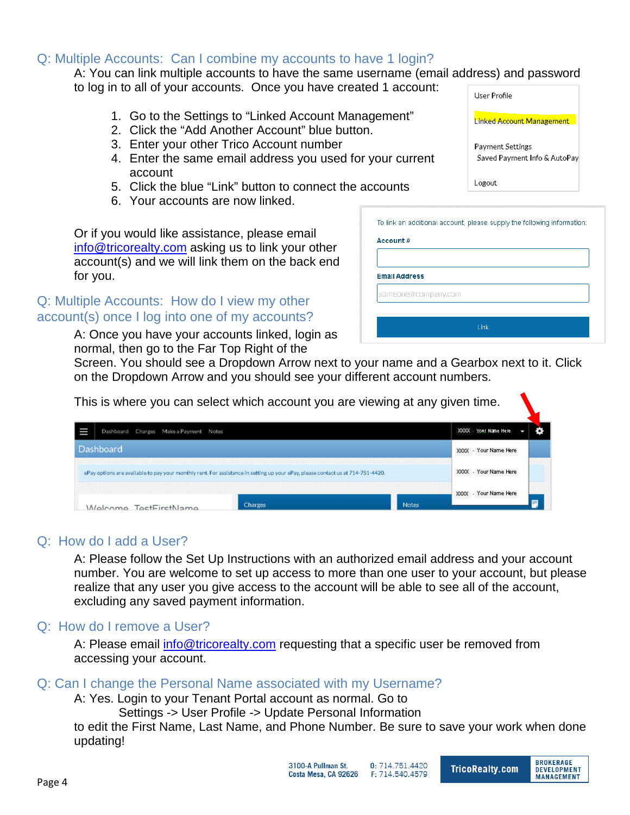## <span id="page-3-0"></span>Q: Multiple Accounts: Can I combine my accounts to have 1 login?

#### A: You can link multiple accounts to have the same username (email address) and password to log in to all of your accounts. Once you have created 1 account: User Profile

- 1. Go to the Settings to "Linked Account Management"
- 2. Click the "Add Another Account" blue button.
- 3. Enter your other Trico Account number
- 4. Enter the same email address you used for your current account
- 5. Click the blue "Link" button to connect the accounts
- 6. Your accounts are now linked.

Or if you would like assistance, please email [info@tricorealty.com](mailto:info@tricorealty.com) asking us to link your other account(s) and we will link them on the back end for you.

## <span id="page-3-1"></span>Q: Multiple Accounts: How do I view my other account(s) once I log into one of my accounts?

A: Once you have your accounts linked, login as normal, then go to the Far Top Right of the

|                      | To link an additional account, please supply the following information: |
|----------------------|-------------------------------------------------------------------------|
| Account #            |                                                                         |
|                      |                                                                         |
| <b>Email Address</b> |                                                                         |
| someone@company.com  |                                                                         |
|                      |                                                                         |
|                      |                                                                         |

Logout

Linked Account Management

Saved Payment Info & AutoPay

Payment Settings

Screen. You should see a Dropdown Arrow next to your name and a Gearbox next to it. Click on the Dropdown Arrow and you should see your different account numbers.

| This is where you can select which account you are viewing at any given time.                                                   |         |              |                       |  |
|---------------------------------------------------------------------------------------------------------------------------------|---------|--------------|-----------------------|--|
| Dashboard Charges Make a Payment Notes                                                                                          |         |              | XXXX - Your Name Here |  |
| Dashboard                                                                                                                       |         |              | XXXX - Your Name Here |  |
| ePay options are available to pay your monthly rent. For assistance in setting up your ePay, please contact us at 714-751-4420. |         |              | XXXX - Your Name Here |  |
|                                                                                                                                 |         |              | XXXX - Your Name Here |  |
| Walcome TostFirstName                                                                                                           | Charges | <b>Notes</b> |                       |  |

#### <span id="page-3-2"></span>Q: How do I add a User?

A: Please follow the Set Up Instructions with an authorized email address and your account number. You are welcome to set up access to more than one user to your account, but please realize that any user you give access to the account will be able to see all of the account, excluding any saved payment information.

#### <span id="page-3-3"></span>Q: How do I remove a User?

A: Please email [info@tricorealty.com](mailto:info@tricorealty.com) requesting that a specific user be removed from accessing your account.

## Q: Can I change the Personal Name associated with my Username?

A: Yes. Login to your Tenant Portal account as normal. Go to Settings -> User Profile -> Update Personal Information

to edit the First Name, Last Name, and Phone Number. Be sure to save your work when done updating!





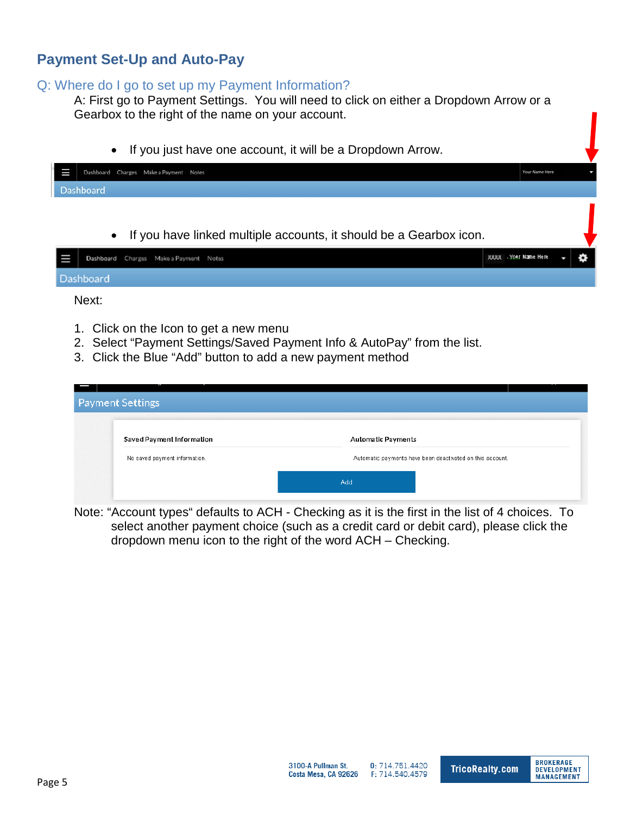# <span id="page-4-0"></span>**Payment Set-Up and Auto-Pay**

#### <span id="page-4-1"></span>Q: Where do I go to set up my Payment Information?

A: First go to Payment Settings. You will need to click on either a Dropdown Arrow or a Gearbox to the right of the name on your account.

• If you just have one account, it will be a Dropdown Arrow.

| t et |           | Dashboard Charges Make a Payment Notes |  |  |  | Your Name Here |  |
|------|-----------|----------------------------------------|--|--|--|----------------|--|
|      | Dashboard |                                        |  |  |  |                |  |
|      |           |                                        |  |  |  |                |  |

• If you have linked multiple accounts, it should be a Gearbox icon.

|           | Dashboard Charges Make a Payment Notes |  | <b>XXXX</b> - Your Name Here | ✿ |
|-----------|----------------------------------------|--|------------------------------|---|
| Dashboard |                                        |  |                              |   |

Next:

- 1. Click on the Icon to get a new menu
- 2. Select "Payment Settings/Saved Payment Info & AutoPay" from the list.
- 3. Click the Blue "Add" button to add a new payment method

| <b>Payment Settings</b> |                               |                           |                                                           |  |
|-------------------------|-------------------------------|---------------------------|-----------------------------------------------------------|--|
|                         |                               |                           |                                                           |  |
|                         |                               |                           |                                                           |  |
|                         | Saved Payment Information     | <b>Automatic Payments</b> |                                                           |  |
|                         |                               |                           |                                                           |  |
|                         | No saved payment information. |                           | Automatic payments have been deactivated on this account. |  |
|                         |                               |                           |                                                           |  |
|                         |                               | Add                       |                                                           |  |
|                         |                               |                           |                                                           |  |

Note: "Account types" defaults to ACH - Checking as it is the first in the list of 4 choices. To select another payment choice (such as a credit card or debit card), please click the dropdown menu icon to the right of the word ACH – Checking.

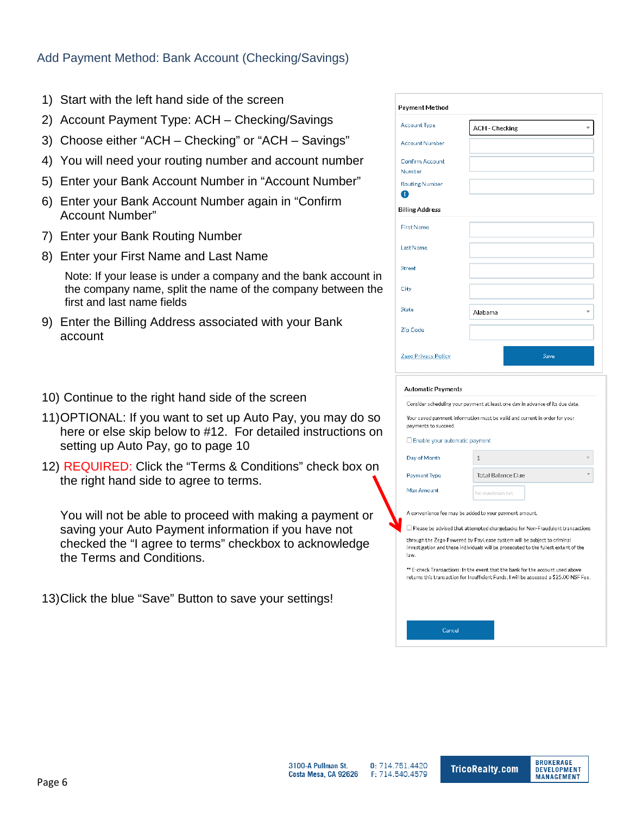#### <span id="page-5-0"></span>Add Payment Method: Bank Account (Checking/Savings)

- 1) Start with the left hand side of the screen
- 2) Account Payment Type: ACH Checking/Savings
- 3) Choose either "ACH Checking" or "ACH Savings"
- 4) You will need your routing number and account number
- 5) Enter your Bank Account Number in "Account Number"
- 6) Enter your Bank Account Number again in "Confirm Account Number"
- 7) Enter your Bank Routing Number
- 8) Enter your First Name and Last Name

Note: If your lease is under a company and the bank account in the company name, split the name of the company between the first and last name fields

- 9) Enter the Billing Address associated with your Bank account
- 10) Continue to the right hand side of the screen
- 11)OPTIONAL: If you want to set up Auto Pay, you may do so here or else skip below to #12. For detailed instructions on setting up Auto Pay, go to page 10
- 12) REQUIRED: Click the "Terms & Conditions" check box on the right hand side to agree to terms.

You will not be able to proceed with making a payment or saving your Auto Payment information if you have not checked the "I agree to terms" checkbox to acknowledge the Terms and Conditions.

13)Click the blue "Save" Button to save your settings!

| Payment Method                   |                |
|----------------------------------|----------------|
| <b>Account Type</b>              | ACH - Checking |
| <b>Account Number</b>            |                |
| <b>Confirm Account</b><br>Number |                |
| <b>Routing Number</b><br>€       |                |
| <b>Billing Address</b>           |                |
| <b>First Name</b>                |                |
| <b>Last Name</b>                 |                |
| Street                           |                |
| City                             |                |
| <b>State</b>                     | Alabama<br>v   |
| Zíp Code                         |                |
| Zego Privacy Policy              | Save           |

#### **Automatic Payments**

Consider scheduling your payment at least one day in advance of its due date

Your saved payment information must be valid and current in order for your payments to succeed.

□ Enable your automatic payment

Cancel

| Dav of Month |                          | v |
|--------------|--------------------------|---|
| Payment Type | <b>Total Balance Due</b> | ۰ |
| Max Amount   | No maximum set           |   |

A convenience fee may be added to your payment amount

□ Please be advised that attempted chargebacks for Non-Fraudulent transactions

through the Zego Powered by PayLease system will be subject to criminal investigation and these individuals will be prosecuted to the fullest extent of the law

\*\* E-check Transactions: In the event that the bank for the account used above returns this transaction for Insufficient Funds, I will be assessed a \$25.00 NSF Fee.

**BROKERAGE** 

**DEVELOPMENT** 

**MANAGEMENT** 

3100-A Pullman St. 0:714.751.4420 **TricoRealty.com** Costa Mesa, CA 92626 F: 714.540.4579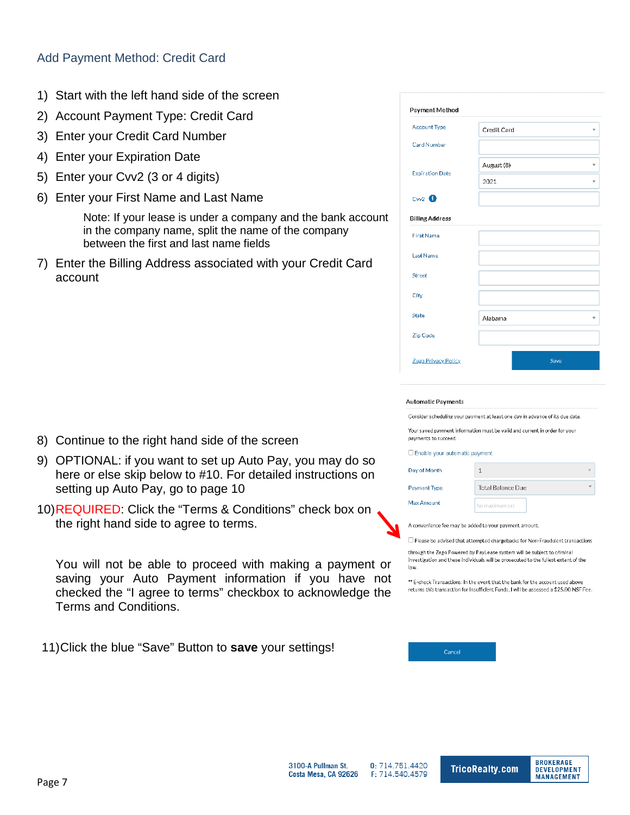#### <span id="page-6-0"></span>Add Payment Method: Credit Card

- 1) Start with the left hand side of the screen
- 2) Account Payment Type: Credit Card
- 3) Enter your Credit Card Number
- 4) Enter your Expiration Date
- 5) Enter your Cvv2 (3 or 4 digits)
- 6) Enter your First Name and Last Name

Note: If your lease is under a company and the bank account in the company name, split the name of the company between the first and last name fields

7) Enter the Billing Address associated with your Credit Card account

- 8) Continue to the right hand side of the screen
- 9) OPTIONAL: if you want to set up Auto Pay, you may do so here or else skip below to #10. For detailed instructions on setting up Auto Pay, go to page 10
- 10)REQUIRED: Click the "Terms & Conditions" check box on the right hand side to agree to terms.

You will not be able to proceed with making a payment or saving your Auto Payment information if you have not checked the "I agree to terms" checkbox to acknowledge the Terms and Conditions.

3100-A Pullman St.

Costa Mesa, CA 92626

11)Click the blue "Save" Button to **save** your settings!

| Payment Method                |                  |
|-------------------------------|------------------|
| <b>Account Type</b>           | Credit Card<br>v |
| Card Number                   |                  |
| <b>Expiration Date</b>        | August (8)       |
|                               | 2021<br>A        |
| $Cw2$ <sup><sup>6</sup></sup> |                  |
| <b>Billing Address</b>        |                  |
| <b>First Name</b>             |                  |
| Last Name                     |                  |
| Street                        |                  |
| City                          |                  |
| <b>State</b>                  | Alabama<br>v     |
| Zip Code                      |                  |
| Zego Privacy Policy           | Save             |
|                               |                  |

#### **Automatic Payments**

Consider scheduling your payment at least one day in advance of its due date.

Your saved payment information must be valid and current in order for your payments to succeed

#### □ Enable your automatic payment

| Day of Month | 1                        | ν |
|--------------|--------------------------|---|
| Payment Type | <b>Total Balance Due</b> |   |
| Max Amount   | No maximum set           |   |

A convenience fee may be added to your payment amount.

 $\Box$  Please be advised that attempted chargebacks for Non-Fraudulent transactions

through the Zego Powered by PayLease system will be subject to criminal investigation and these individuals will be prosecuted to the fullest extent of the law

\*\* E-check Transactions: In the event that the bank for the account used above returns this transaction for Insufficient Funds, I will be assessed a \$25.00 NSF Fee.

Cance

0:714.751.4420

F: 714.540.4579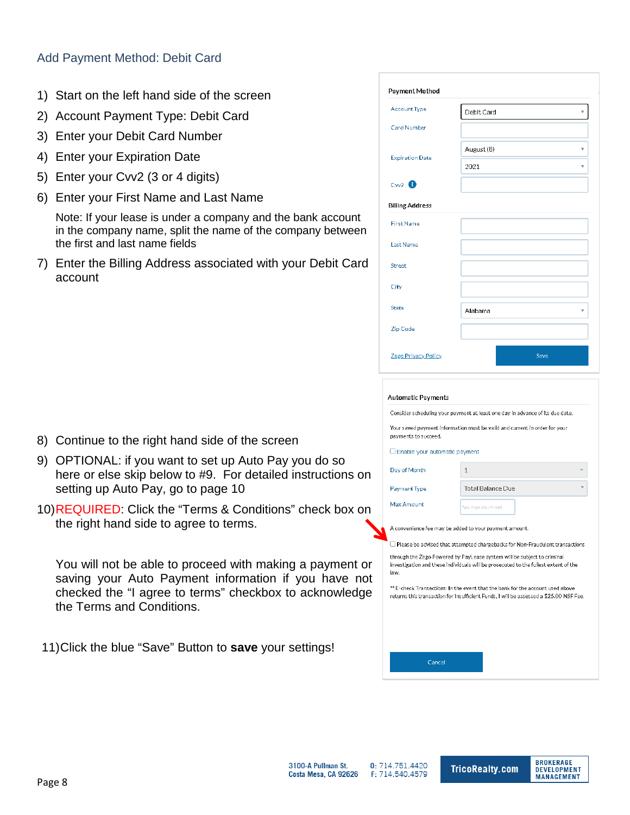#### <span id="page-7-0"></span>Add Payment Method: Debit Card

- 1) Start on the left hand side of the screen
- 2) Account Payment Type: Debit Card
- 3) Enter your Debit Card Number
- 4) Enter your Expiration Date
- 5) Enter your Cvv2 (3 or 4 digits)
- 6) Enter your First Name and Last Name

Note: If your lease is under a company and the bank account in the company name, split the name of the company between the first and last name fields

7) Enter the Billing Address associated with your Debit Card account

| Payment Method         |            |                         |
|------------------------|------------|-------------------------|
| <b>Account Type</b>    | Debit Card | v                       |
| Card Number            |            |                         |
| <b>Expiration Date</b> | August (8) | $\overline{\mathbf{v}}$ |
|                        | 2021       |                         |
| Cw2                    |            |                         |
| <b>Billing Address</b> |            |                         |
| <b>First Name</b>      |            |                         |
| <b>Last Name</b>       |            |                         |
| Street                 |            |                         |
| City                   |            |                         |
| State                  | Alabama    | ₩                       |
| Zíp Code               |            |                         |
| Zego Privacy Policy    | Save       |                         |

#### Automatic Payments

Consider scheduling your payment at least one day in advance of its due date

Your saved payment information must be valid and current in order for your payments to succeed.

O Enable your automatic payment

| Day of Month                                           | 1                                                                                                                                                                        |  |  |  |  |  |  |  |
|--------------------------------------------------------|--------------------------------------------------------------------------------------------------------------------------------------------------------------------------|--|--|--|--|--|--|--|
| Payment Type                                           | Total Balance Due                                                                                                                                                        |  |  |  |  |  |  |  |
| Max Amount                                             | No maximum set                                                                                                                                                           |  |  |  |  |  |  |  |
| A convenience fee may be added to your payment amount. |                                                                                                                                                                          |  |  |  |  |  |  |  |
|                                                        | $\Box$ Please be advised that attempted chargebacks for Non-Fraudulent transactions                                                                                      |  |  |  |  |  |  |  |
| law.                                                   | through the Zego Powered by PayLease system will be subject to criminal<br>investigation and these individuals will be prosecuted to the fullest extent of the           |  |  |  |  |  |  |  |
|                                                        | ** E-check Transactions: In the event that the bank for the account used above<br>returns this transaction for Insufficient Funds, I will be assessed a \$25.00 NSF Fee. |  |  |  |  |  |  |  |
|                                                        |                                                                                                                                                                          |  |  |  |  |  |  |  |
|                                                        |                                                                                                                                                                          |  |  |  |  |  |  |  |
|                                                        |                                                                                                                                                                          |  |  |  |  |  |  |  |

11)Click the blue "Save" Button to **save** your settings!

8) Continue to the right hand side of the screen

setting up Auto Pay, go to page 10

the right hand side to agree to terms.

the Terms and Conditions.

9) OPTIONAL: if you want to set up Auto Pay you do so

here or else skip below to #9. For detailed instructions on

You will not be able to proceed with making a payment or saving your Auto Payment information if you have not checked the "I agree to terms" checkbox to acknowledge

10)REQUIRED: Click the "Terms & Conditions" check box on



Cancel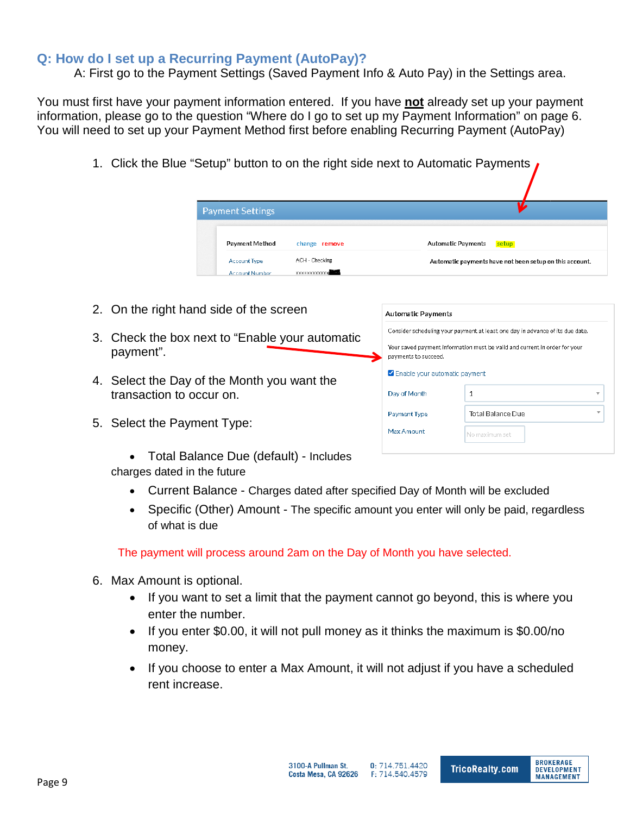## <span id="page-8-0"></span>**Q: How do I set up a Recurring Payment (AutoPay)?**

A: First go to the Payment Settings (Saved Payment Info & Auto Pay) in the Settings area.

You must first have your payment information entered. If you have **not** already set up your payment information, please go to the question "Where do I go to set up my Payment Information" on page 6. You will need to set up your Payment Method first before enabling Recurring Payment (AutoPay)

1. Click the Blue "Setup" button to on the right side next to Automatic Payments

|                          | <b>Payment Settings</b>                         |                                                                                                    |                                                                               |                                    |  |  |  |
|--------------------------|-------------------------------------------------|----------------------------------------------------------------------------------------------------|-------------------------------------------------------------------------------|------------------------------------|--|--|--|
|                          | Payment Method                                  | change remove                                                                                      |                                                                               | <b>Automatic Payments</b><br>setup |  |  |  |
|                          | <b>Account Type</b><br><b>Account Number</b>    | ACH - Checking<br><b>XXXXXXXXXXXXX</b>                                                             | Automatic payments have not been setup on this account.                       |                                    |  |  |  |
|                          |                                                 |                                                                                                    |                                                                               |                                    |  |  |  |
|                          | 2. On the right hand side of the screen         |                                                                                                    | <b>Automatic Payments</b>                                                     |                                    |  |  |  |
|                          |                                                 |                                                                                                    | Consider scheduling your payment at least one day in advance of its due date. |                                    |  |  |  |
| payment".                | 3. Check the box next to "Enable your automatic | Your saved payment information must be valid and current in order for your<br>payments to succeed. |                                                                               |                                    |  |  |  |
|                          | 4. Select the Day of the Month you want the     |                                                                                                    | Enable your automatic payment                                                 |                                    |  |  |  |
| transaction to occur on. |                                                 |                                                                                                    |                                                                               |                                    |  |  |  |

**Payment Type** Max Amount

- 5. Select the Payment Type:
	- Total Balance Due (default) Includes charges dated in the future
		- Current Balance Charges dated after specified Day of Month will be excluded
		- Specific (Other) Amount The specific amount you enter will only be paid, regardless of what is due

The payment will process around 2am on the Day of Month you have selected.

- 6. Max Amount is optional.
	- If you want to set a limit that the payment cannot go beyond, this is where you enter the number.
	- If you enter \$0.00, it will not pull money as it thinks the maximum is \$0.00/no money.
	- If you choose to enter a Max Amount, it will not adjust if you have a scheduled rent increase.

**Total Balance Due** 

.<br>No maximum set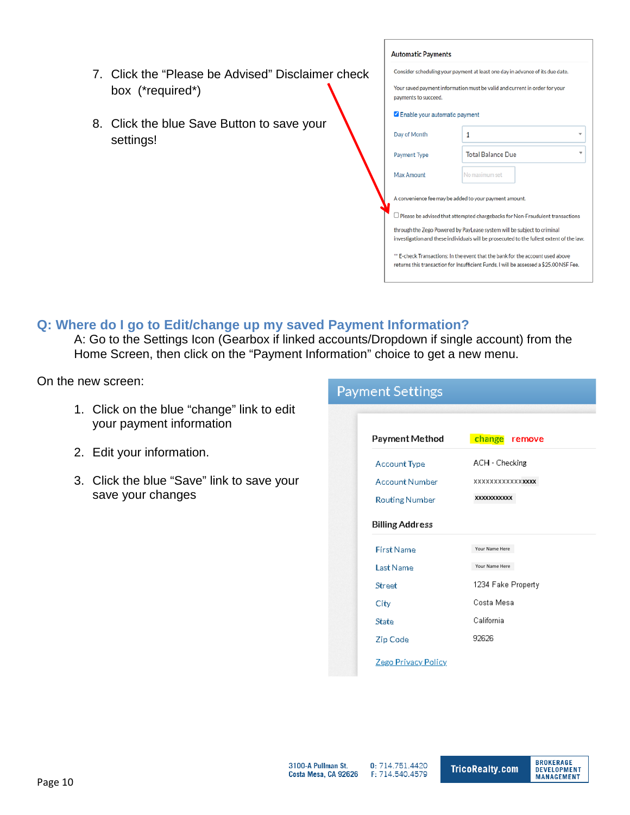- 7. Click the "Please be Advised" Disclaimer check box (\*required\*)
- 8. Click the blue Save Button to save your settings!

| <b>Automatic Payments</b>                                                                          |                                                                                                                                                                          |  |  |  |  |  |  |  |
|----------------------------------------------------------------------------------------------------|--------------------------------------------------------------------------------------------------------------------------------------------------------------------------|--|--|--|--|--|--|--|
|                                                                                                    | Consider scheduling your payment at least one day in advance of its due date.                                                                                            |  |  |  |  |  |  |  |
| Your saved payment information must be valid and current in order for your<br>payments to succeed. |                                                                                                                                                                          |  |  |  |  |  |  |  |
| Enable your automatic payment                                                                      |                                                                                                                                                                          |  |  |  |  |  |  |  |
| Day of Month<br>1                                                                                  |                                                                                                                                                                          |  |  |  |  |  |  |  |
| Payment Type                                                                                       | <b>Total Balance Due</b>                                                                                                                                                 |  |  |  |  |  |  |  |
| <b>Max Amount</b>                                                                                  | No maximum set                                                                                                                                                           |  |  |  |  |  |  |  |
|                                                                                                    | A convenience fee may be added to your payment amount.                                                                                                                   |  |  |  |  |  |  |  |
|                                                                                                    | Please be advised that attempted chargebacks for Non-Fraudulent transactions                                                                                             |  |  |  |  |  |  |  |
|                                                                                                    | through the Zego Powered by PayLease system will be subject to criminal<br>investigation and these individuals will be prosecuted to the fullest extent of the law.      |  |  |  |  |  |  |  |
|                                                                                                    | ** E-check Transactions: In the event that the bank for the account used above<br>returns this transaction for Insufficient Funds. I will be assessed a \$25.00 NSF Fee. |  |  |  |  |  |  |  |

# <span id="page-9-0"></span>**Q: Where do I go to Edit/change up my saved Payment Information?**

A: Go to the Settings Icon (Gearbox if linked accounts/Dropdown if single account) from the Home Screen, then click on the "Payment Information" choice to get a new menu.

On the new screen:

- 1. Click on the blue "change" link to edit your payment information
- 2. Edit your information.
- 3. Click the blue "Save" link to save your save your changes **XXXXXXXXXXX**

#### **Payment Settings** Payment Method change remove ACH - Checking **Account Type Account Number XXXX Billing Address** Your Name Here **First Name** Last Name Your Name Here1234 Fake Property Street City Costa Mesa California State 92626 Zíp Code Zego Prívacy Polícy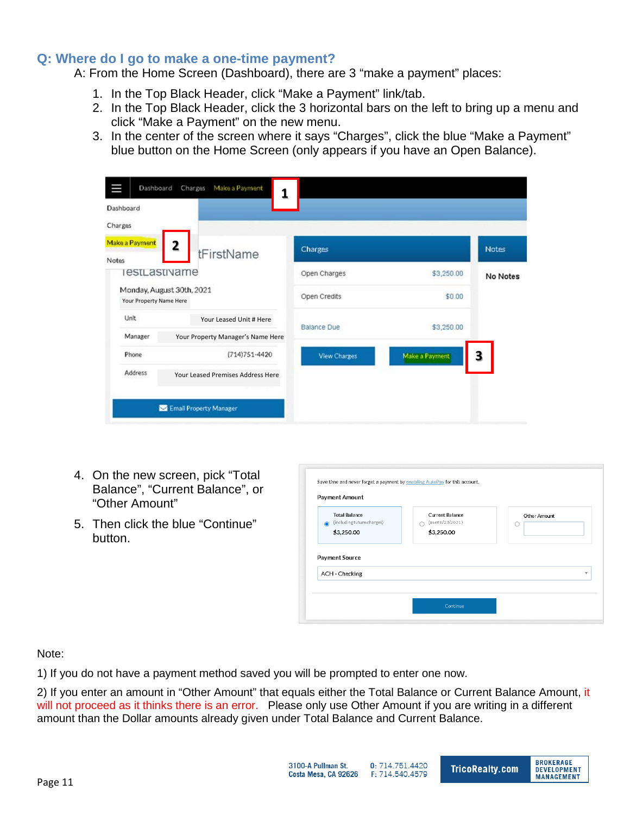## <span id="page-10-0"></span>**Q: Where do I go to make a one-time payment?**

A: From the Home Screen (Dashboard), there are 3 "make a payment" places:

- 1. In the Top Black Header, click "Make a Payment" link/tab.
- 2. In the Top Black Header, click the 3 horizontal bars on the left to bring up a menu and click "Make a Payment" on the new menu.
- 3. In the center of the screen where it says "Charges", click the blue "Make a Payment" blue button on the Home Screen (only appears if you have an Open Balance).

| Ш<br>Dashboard          | 1                                 |                    |                |              |
|-------------------------|-----------------------------------|--------------------|----------------|--------------|
| Charges                 |                                   |                    |                |              |
| Make a Payment<br>Notes | 2<br>tFirstName                   | <b>Charges</b>     |                | <b>Notes</b> |
| estLastivame            |                                   | Open Charges       | \$3,250.00     | No Notes     |
| Your Property Name Here | Monday, August 30th, 2021         | Open Credits       | \$0.00         |              |
| Unit                    | Your Leased Unit # Here           | <b>Balance Due</b> | \$3,250.00     |              |
| Manager                 | Your Property Manager's Name Here |                    |                |              |
| Phone                   | (714) 751-4420                    | View Charges       | Make a Payment | з            |
| Address                 | Your Leased Premises Address Here |                    |                |              |
|                         | Email Property Manager            |                    |                |              |

- 4. On the new screen, pick "Total Balance", "Current Balance", or "Other Amount"
- 5. Then click the blue "Continue" button.

| ⋒ | <b>Total Balance</b><br>(including future charges) | <b>Current Balance</b><br>(as of 8/23/2021) | Other Amount |
|---|----------------------------------------------------|---------------------------------------------|--------------|
|   | \$3,250.00                                         | \$3,250.00                                  |              |
|   | Payment Source                                     |                                             |              |

#### Note:

1) If you do not have a payment method saved you will be prompted to enter one now.

2) If you enter an amount in "Other Amount" that equals either the Total Balance or Current Balance Amount, it will not proceed as it thinks there is an error. Please only use Other Amount if you are writing in a different amount than the Dollar amounts already given under Total Balance and Current Balance.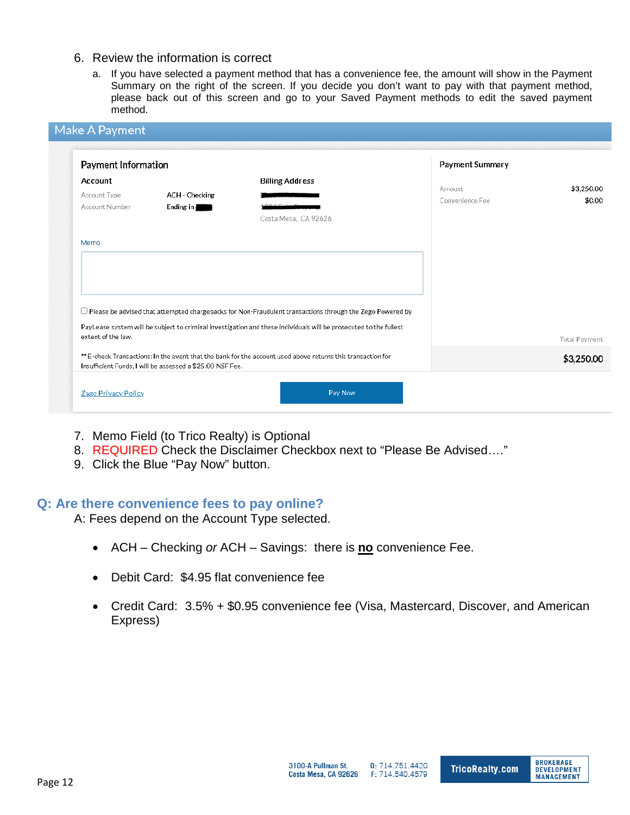#### 6. Review the information is correct

a. If you have selected a payment method that has a convenience fee, the amount will show in the Payment Summary on the right of the screen. If you decide you don't want to pay with that payment method, please back out of this screen and go to your Saved Payment methods to edit the saved payment method.

|                                           | Payment Information         |                                                                                                                   | Payment Summary           |                      |
|-------------------------------------------|-----------------------------|-------------------------------------------------------------------------------------------------------------------|---------------------------|----------------------|
| Account<br>Account Type<br>Account Number | ACH - Checking<br>Ending in | <b>Billing Address</b><br>Costa Mesa, CA 92626                                                                    | Amount<br>Convenience Fee | \$3,250.00           |
| Memo                                      |                             |                                                                                                                   |                           |                      |
|                                           |                             | $\Box$ Please be advised that attempted chargebacks for Non-Fraudulent transactions through the Zego Powered by   |                           |                      |
| extent of the law.                        |                             | PayLease system will be subject to criminal investigation and these individuals will be prosecuted to the fullest |                           | <b>Total Payment</b> |
|                                           |                             | ** E-check Transactions: In the event that the bank for the account used above returns this transaction for       |                           | \$3,250.00           |

- 7. Memo Field (to Trico Realty) is Optional
- 8. REQUIRED Check the Disclaimer Checkbox next to "Please Be Advised…."
- 9. Click the Blue "Pay Now" button.

#### <span id="page-11-0"></span>**Q: Are there convenience fees to pay online?**

A: Fees depend on the Account Type selected.

- ACH Checking *or* ACH Savings: there is **no** convenience Fee.
- Debit Card: \$4.95 flat convenience fee
- Credit Card: 3.5% + \$0.95 convenience fee (Visa, Mastercard, Discover, and American Express)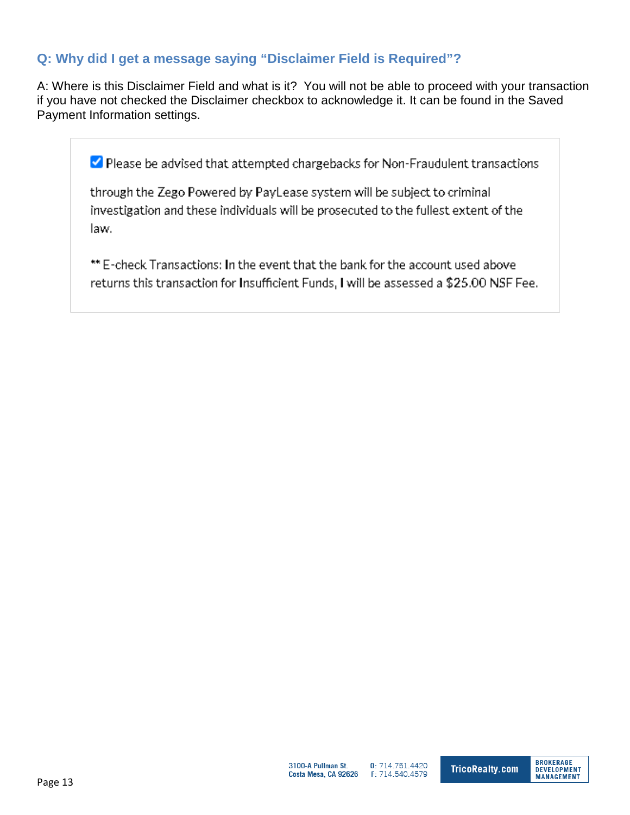# <span id="page-12-0"></span>**Q: Why did I get a message saying "Disclaimer Field is Required"?**

A: Where is this Disclaimer Field and what is it? You will not be able to proceed with your transaction if you have not checked the Disclaimer checkbox to acknowledge it. It can be found in the Saved Payment Information settings.

Please be advised that attempted chargebacks for Non-Fraudulent transactions

through the Zego Powered by PayLease system will be subject to criminal investigation and these individuals will be prosecuted to the fullest extent of the law.

\*\* E-check Transactions: In the event that the bank for the account used above returns this transaction for Insufficient Funds, I will be assessed a \$25.00 NSF Fee.

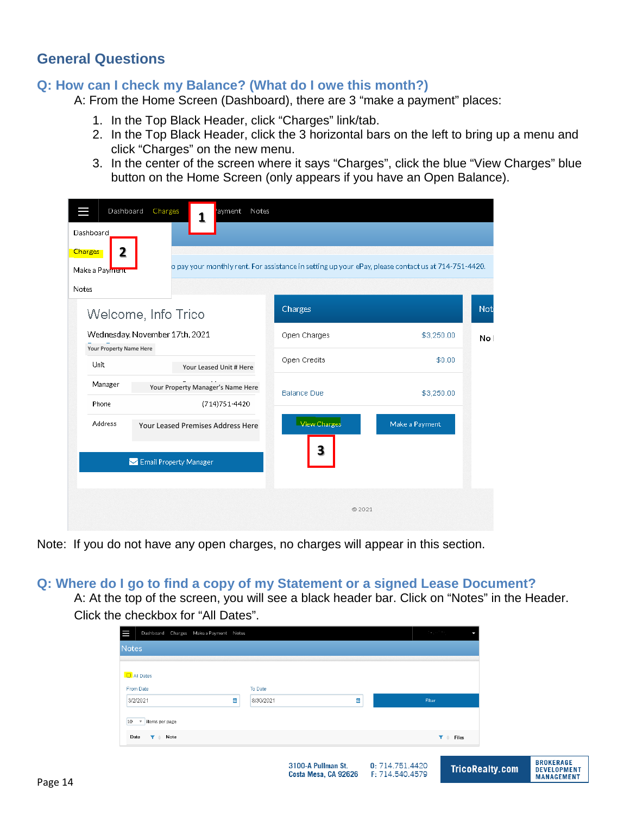# <span id="page-13-0"></span>**General Questions**

#### <span id="page-13-1"></span>**Q: How can I check my Balance? (What do I owe this month?)**

A: From the Home Screen (Dashboard), there are 3 "make a payment" places:

- 1. In the Top Black Header, click "Charges" link/tab.
- 2. In the Top Black Header, click the 3 horizontal bars on the left to bring up a menu and click "Charges" on the new menu.
- 3. In the center of the screen where it says "Charges", click the blue "View Charges" blue button on the Home Screen (only appears if you have an Open Balance).

| Dashboard               | Charges<br>ayment Notes           |                    |                                                                                                     |      |
|-------------------------|-----------------------------------|--------------------|-----------------------------------------------------------------------------------------------------|------|
| Dashboard               |                                   |                    |                                                                                                     |      |
| 2<br><b>Charges</b>     |                                   |                    | o pay your monthly rent. For assistance in setting up your ePay, please contact us at 714-751-4420. |      |
| Make a Payment          |                                   |                    |                                                                                                     |      |
| Notes                   |                                   |                    |                                                                                                     |      |
|                         | Welcome, Info Trico               | Charges            |                                                                                                     | Not  |
| Your Property Name Here | Wednesday, November 17th, 2021    | Open Charges       | \$3,250.00                                                                                          | No I |
| Unit                    | Your Leased Unit # Here           | Open Credits       | \$0.00                                                                                              |      |
| Manager                 | Your Property Manager's Name Here | <b>Balance Due</b> | \$3,250.00                                                                                          |      |
| Phone                   | (714) 751-4420                    |                    |                                                                                                     |      |
| <b>Address</b>          | Your Leased Premises Address Here | View Charges<br>3  | Make a Payment                                                                                      |      |
|                         | Email Property Manager            |                    |                                                                                                     |      |
|                         |                                   |                    |                                                                                                     |      |
|                         |                                   | @2021              |                                                                                                     |      |
|                         |                                   |                    |                                                                                                     |      |

Note: If you do not have any open charges, no charges will appear in this section.

#### <span id="page-13-2"></span>**Q: Where do I go to find a copy of my Statement or a signed Lease Document?**

A: At the top of the screen, you will see a black header bar. Click on "Notes" in the Header. Click the checkbox for "All Dates".

| To Date<br>From Date<br>$\overline{\mathbf{m}}$<br>菌<br>8/30/2021<br>Filter<br>3/2/2021<br>10<br>items per page<br>$\boldsymbol{\mathrm{v}}$<br>Date<br>Note<br>Y é<br>Y é<br>Files |                                             | 3100-A Pullman St.<br>Costa Mesa, CA 92626 F: 714.540.4579 | 0: 714.751.4420 |                                           | <b>TricoRealty.com</b> | <b>BROKERAGE</b><br><b>DEVELOPMENT</b><br><b>MANAGEMENT</b> |
|-------------------------------------------------------------------------------------------------------------------------------------------------------------------------------------|---------------------------------------------|------------------------------------------------------------|-----------------|-------------------------------------------|------------------------|-------------------------------------------------------------|
|                                                                                                                                                                                     |                                             |                                                            |                 |                                           |                        |                                                             |
|                                                                                                                                                                                     |                                             |                                                            |                 |                                           |                        |                                                             |
|                                                                                                                                                                                     |                                             |                                                            |                 |                                           |                        |                                                             |
|                                                                                                                                                                                     | <b>O</b> All Dates                          |                                                            |                 |                                           |                        |                                                             |
|                                                                                                                                                                                     | Ш<br>Dashboard Charges Make a Payment Notes |                                                            |                 | $\mathcal{F} = \mathcal{F}^{(1,1,1,1,1)}$ |                        |                                                             |